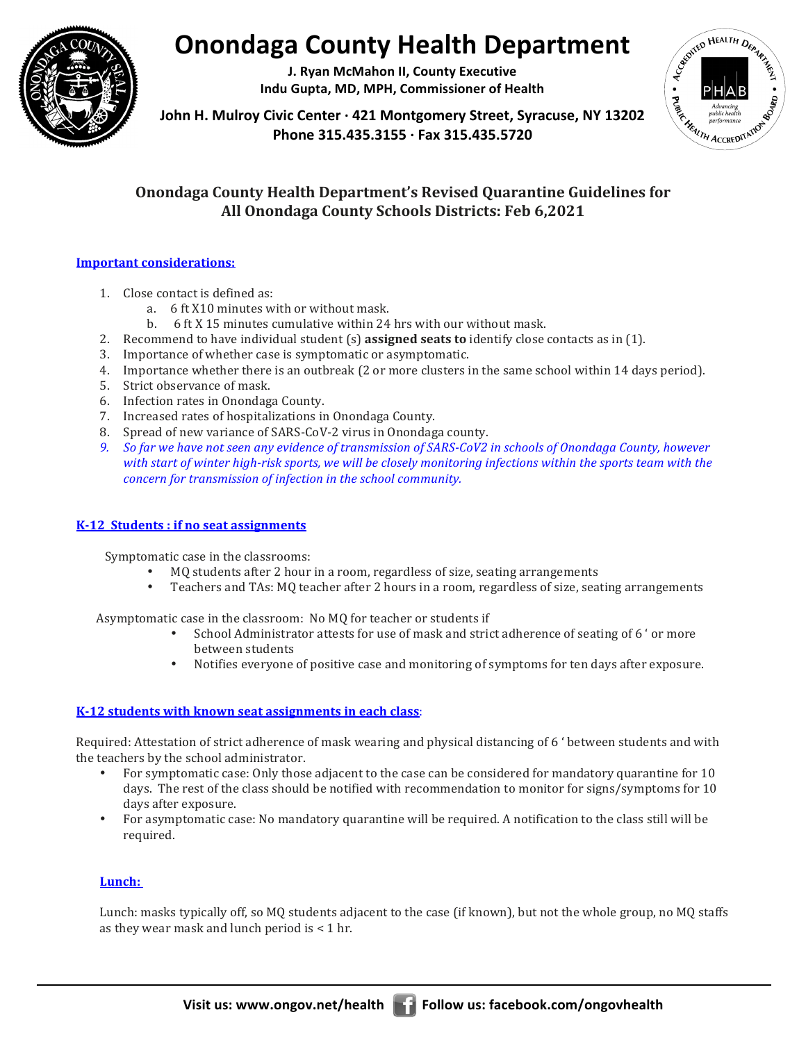

# **Onondaga County Health Department**

**J. Ryan McMahon II, County Executive Indu Gupta, MD, MPH, Commissioner of Health** 



John H. Mulroy Civic Center · 421 Montgomery Street, Syracuse, NY 13202 Phone 315.435.3155 · Fax 315.435.5720

## **Onondaga County Health Department's Revised Ouarantine Guidelines for** All Onondaga County Schools Districts: Feb 6,2021

## **Important considerations:**

- 1. Close contact is defined as:
	- a. 6 ft X10 minutes with or without mask.
	- b. 6 ft X 15 minutes cumulative within 24 hrs with our without mask.
- 2. Recommend to have individual student (s) **assigned seats to** identify close contacts as in (1).
- 3. Importance of whether case is symptomatic or asymptomatic.
- 4. Importance whether there is an outbreak (2 or more clusters in the same school within 14 days period).
- 5. Strict observance of mask.
- 6. Infection rates in Onondaga County.
- 7. Increased rates of hospitalizations in Onondaga County.
- 8. Spread of new variance of SARS-CoV-2 virus in Onondaga county.
- 9. *So far we have not seen any evidence of transmission of SARS-CoV2 in schools of Onondaga County, however* with start of winter high-risk sports, we will be closely monitoring infections within the sports team with the *concern for transmission of infection in the school community.*

## **K-12** Students : if no seat assignments

Symptomatic case in the classrooms:

- MQ students after 2 hour in a room, regardless of size, seating arrangements<br>• Teachers and  $TAs: MO$  teacher after 2 hours in a room, regardless of size, sea
- Teachers and TAs: MQ teacher after 2 hours in a room, regardless of size, seating arrangements

Asymptomatic case in the classroom: No MQ for teacher or students if

- School Administrator attests for use of mask and strict adherence of seating of 6 ' or more between students
- Notifies everyone of positive case and monitoring of symptoms for ten days after exposure.

## **K-12** students with known seat assignments in each class:

Required: Attestation of strict adherence of mask wearing and physical distancing of 6 ' between students and with the teachers by the school administrator.

- For symptomatic case: Only those adjacent to the case can be considered for mandatory quarantine for 10 days. The rest of the class should be notified with recommendation to monitor for signs/symptoms for 10 days after exposure.
- For asymptomatic case: No mandatory quarantine will be required. A notification to the class still will be required.

## Lunch:

Lunch: masks typically off, so MQ students adjacent to the case (if known), but not the whole group, no MQ staffs as they wear mask and lunch period is  $< 1$  hr.